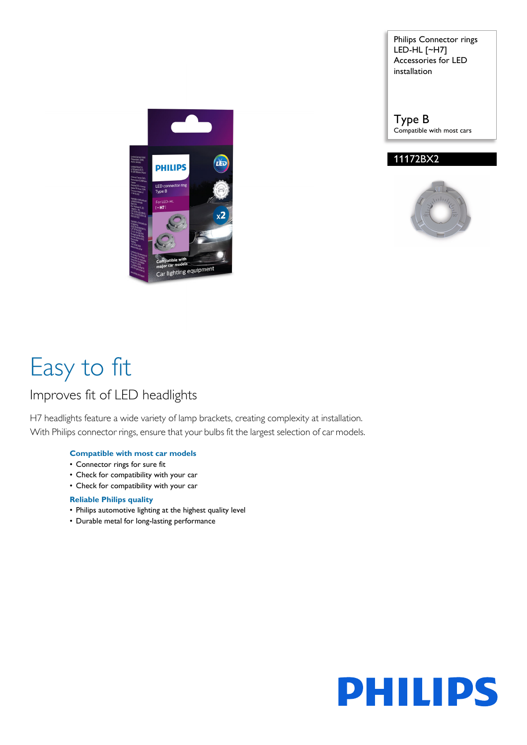Philips Connector rings LED-HL [~H7] Accessories for LED installation

Type B Compatible with most cars







# Easy to fit

### Improves fit of LED headlights

H7 headlights feature a wide variety of lamp brackets, creating complexity at installation. With Philips connector rings, ensure that your bulbs fit the largest selection of car models.

### **Compatible with most car models**

- Connector rings for sure fit
- Check for compatibility with your car
- Check for compatibility with your car

#### **Reliable Philips quality**

- Philips automotive lighting at the highest quality level
- Durable metal for long-lasting performance